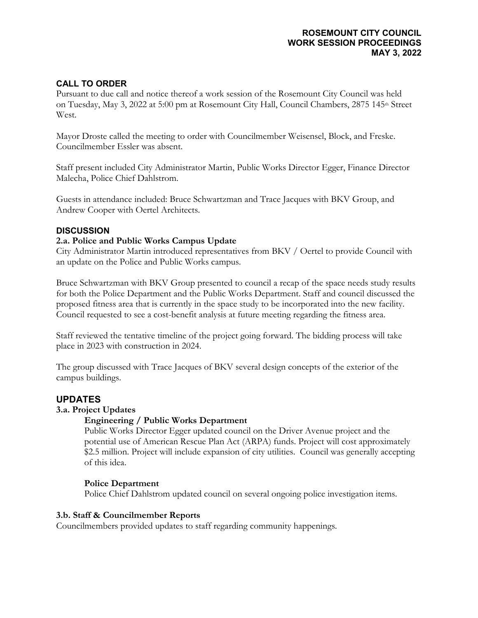### **ROSEMOUNT CITY COUNCIL WORK SESSION PROCEEDINGS MAY 3, 2022**

# **CALL TO ORDER**

Pursuant to due call and notice thereof a work session of the Rosemount City Council was held on Tuesday, May 3, 2022 at 5:00 pm at Rosemount City Hall, Council Chambers, 2875 145<sup>th</sup> Street West.

Mayor Droste called the meeting to order with Councilmember Weisensel, Block, and Freske. Councilmember Essler was absent.

Staff present included City Administrator Martin, Public Works Director Egger, Finance Director Malecha, Police Chief Dahlstrom.

Guests in attendance included: Bruce Schwartzman and Trace Jacques with BKV Group, and Andrew Cooper with Oertel Architects.

### **DISCUSSION**

### **2.a. Police and Public Works Campus Update**

City Administrator Martin introduced representatives from BKV / Oertel to provide Council with an update on the Police and Public Works campus.

Bruce Schwartzman with BKV Group presented to council a recap of the space needs study results for both the Police Department and the Public Works Department. Staff and council discussed the proposed fitness area that is currently in the space study to be incorporated into the new facility. Council requested to see a cost-benefit analysis at future meeting regarding the fitness area.

Staff reviewed the tentative timeline of the project going forward. The bidding process will take place in 2023 with construction in 2024.

The group discussed with Trace Jacques of BKV several design concepts of the exterior of the campus buildings.

# **UPDATES**

#### **3.a. Project Updates**

### **Engineering / Public Works Department**

Public Works Director Egger updated council on the Driver Avenue project and the potential use of American Rescue Plan Act (ARPA) funds. Project will cost approximately \$2.5 million. Project will include expansion of city utilities. Council was generally accepting of this idea.

### **Police Department**

Police Chief Dahlstrom updated council on several ongoing police investigation items.

### **3.b. Staff & Councilmember Reports**

Councilmembers provided updates to staff regarding community happenings.